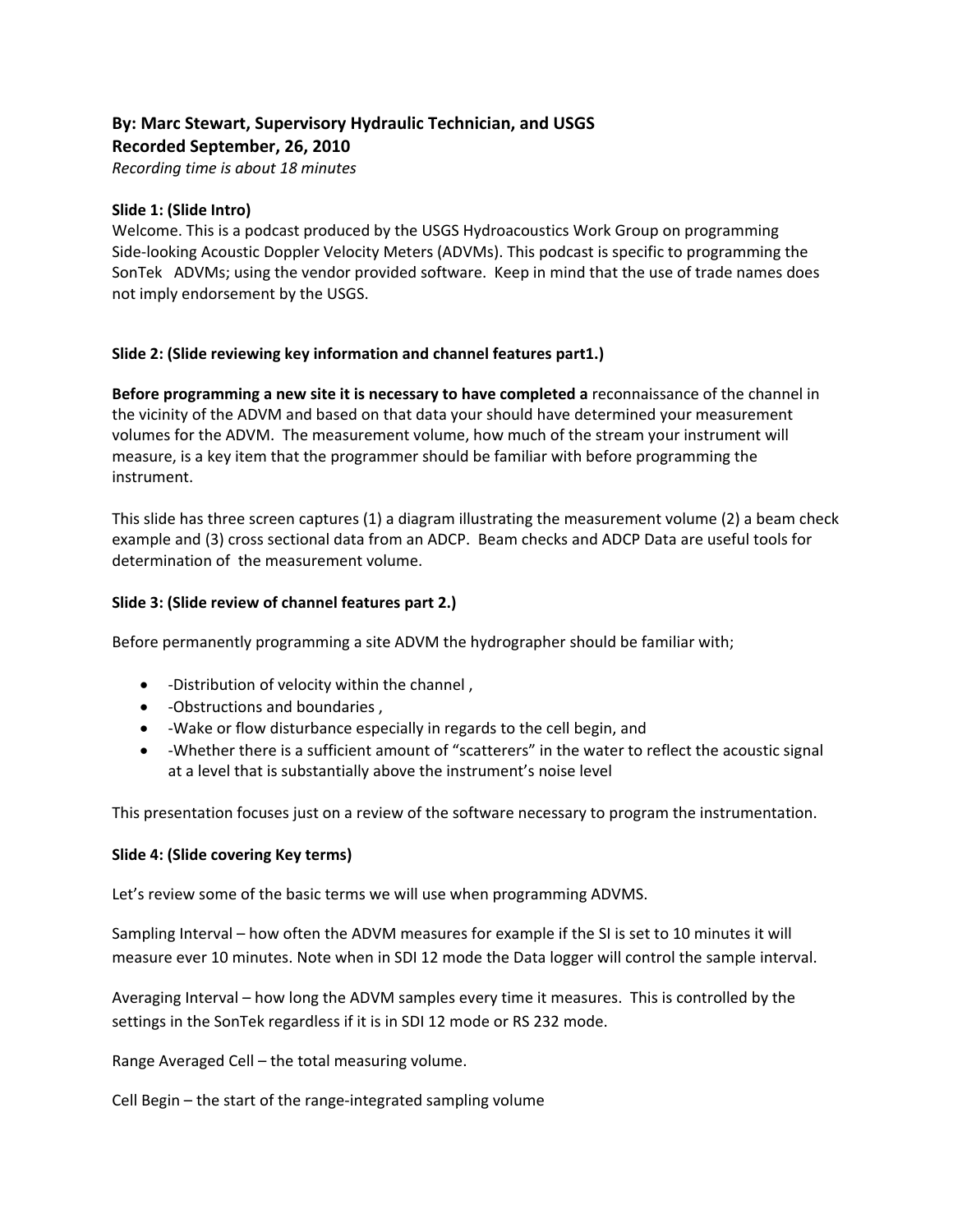# **By: Marc Stewart, Supervisory Hydraulic Technician, and USGS Recorded September, 26, 2010**

*Recording time is about 18 minutes*

#### **Slide 1: (Slide Intro)**

Welcome. This is a podcast produced by the USGS Hydroacoustics Work Group on programming Side‐looking Acoustic Doppler Velocity Meters (ADVMs). This podcast is specific to programming the SonTek ADVMs; using the vendor provided software. Keep in mind that the use of trade names does not imply endorsement by the USGS.

### **Slide 2: (Slide reviewing key information and channel features part1.)**

**Before programming a new site it is necessary to have completed a** reconnaissance of the channel in the vicinity of the ADVM and based on that data your should have determined your measurement volumes for the ADVM. The measurement volume, how much of the stream your instrument will measure, is a key item that the programmer should be familiar with before programming the instrument.

This slide has three screen captures (1) a diagram illustrating the measurement volume (2) a beam check example and (3) cross sectional data from an ADCP. Beam checks and ADCP Data are useful tools for determination of the measurement volume.

### **Slide 3: (Slide review of channel features part 2.)**

Before permanently programming a site ADVM the hydrographer should be familiar with;

- -Distribution of velocity within the channel,
- ‐Obstructions and boundaries ,
- ‐Wake or flow disturbance especially in regards to the cell begin, and
- -Whether there is a sufficient amount of "scatterers" in the water to reflect the acoustic signal at a level that is substantially above the instrument's noise level

This presentation focuses just on a review of the software necessary to program the instrumentation.

#### **Slide 4: (Slide covering Key terms)**

Let's review some of the basic terms we will use when programming ADVMS.

Sampling Interval – how often the ADVM measures for example if the SI is set to 10 minutes it will measure ever 10 minutes. Note when in SDI 12 mode the Data logger will control the sample interval.

Averaging Interval – how long the ADVM samples every time it measures. This is controlled by the settings in the SonTek regardless if it is in SDI 12 mode or RS 232 mode.

Range Averaged Cell – the total measuring volume.

Cell Begin – the start of the range‐integrated sampling volume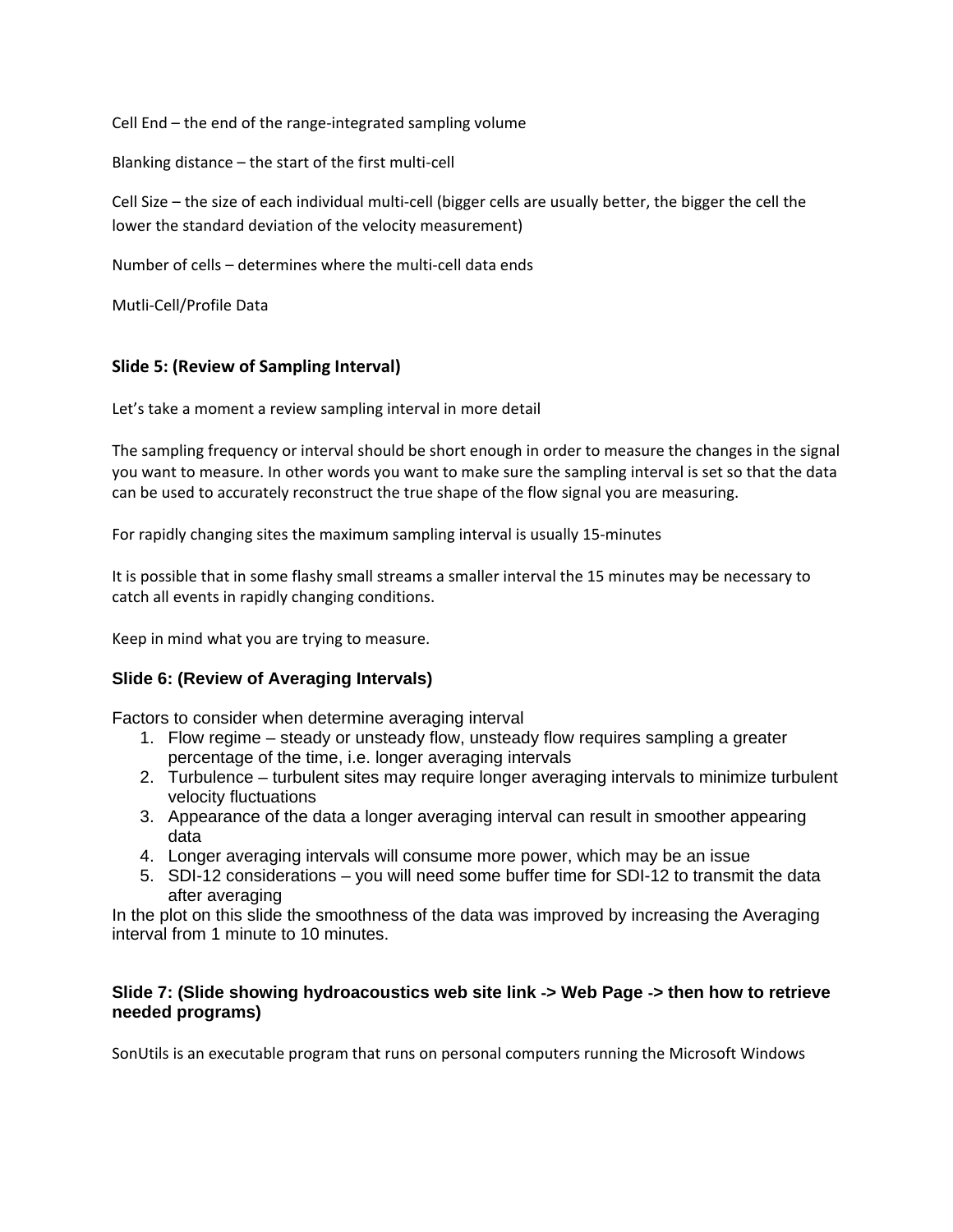Cell End – the end of the range‐integrated sampling volume

Blanking distance – the start of the first multi‐cell

Cell Size – the size of each individual multi-cell (bigger cells are usually better, the bigger the cell the lower the standard deviation of the velocity measurement)

Number of cells – determines where the multi-cell data ends

Mutli‐Cell/Profile Data

### **Slide 5: (Review of Sampling Interval)**

Let's take a moment a review sampling interval in more detail

The sampling frequency or interval should be short enough in order to measure the changes in the signal you want to measure. In other words you want to make sure the sampling interval is set so that the data can be used to accurately reconstruct the true shape of the flow signal you are measuring.

For rapidly changing sites the maximum sampling interval is usually 15‐minutes

It is possible that in some flashy small streams a smaller interval the 15 minutes may be necessary to catch all events in rapidly changing conditions.

Keep in mind what you are trying to measure.

### **Slide 6: (Review of Averaging Intervals)**

Factors to consider when determine averaging interval

- 1. Flow regime steady or unsteady flow, unsteady flow requires sampling a greater percentage of the time, i.e. longer averaging intervals
- 2. Turbulence turbulent sites may require longer averaging intervals to minimize turbulent velocity fluctuations
- 3. Appearance of the data a longer averaging interval can result in smoother appearing data
- 4. Longer averaging intervals will consume more power, which may be an issue
- 5. SDI-12 considerations you will need some buffer time for SDI-12 to transmit the data after averaging

In the plot on this slide the smoothness of the data was improved by increasing the Averaging interval from 1 minute to 10 minutes.

### **Slide 7: (Slide showing hydroacoustics web site link** ‐**> Web Page** ‐**> then how to retrieve needed programs)**

SonUtils is an executable program that runs on personal computers running the Microsoft Windows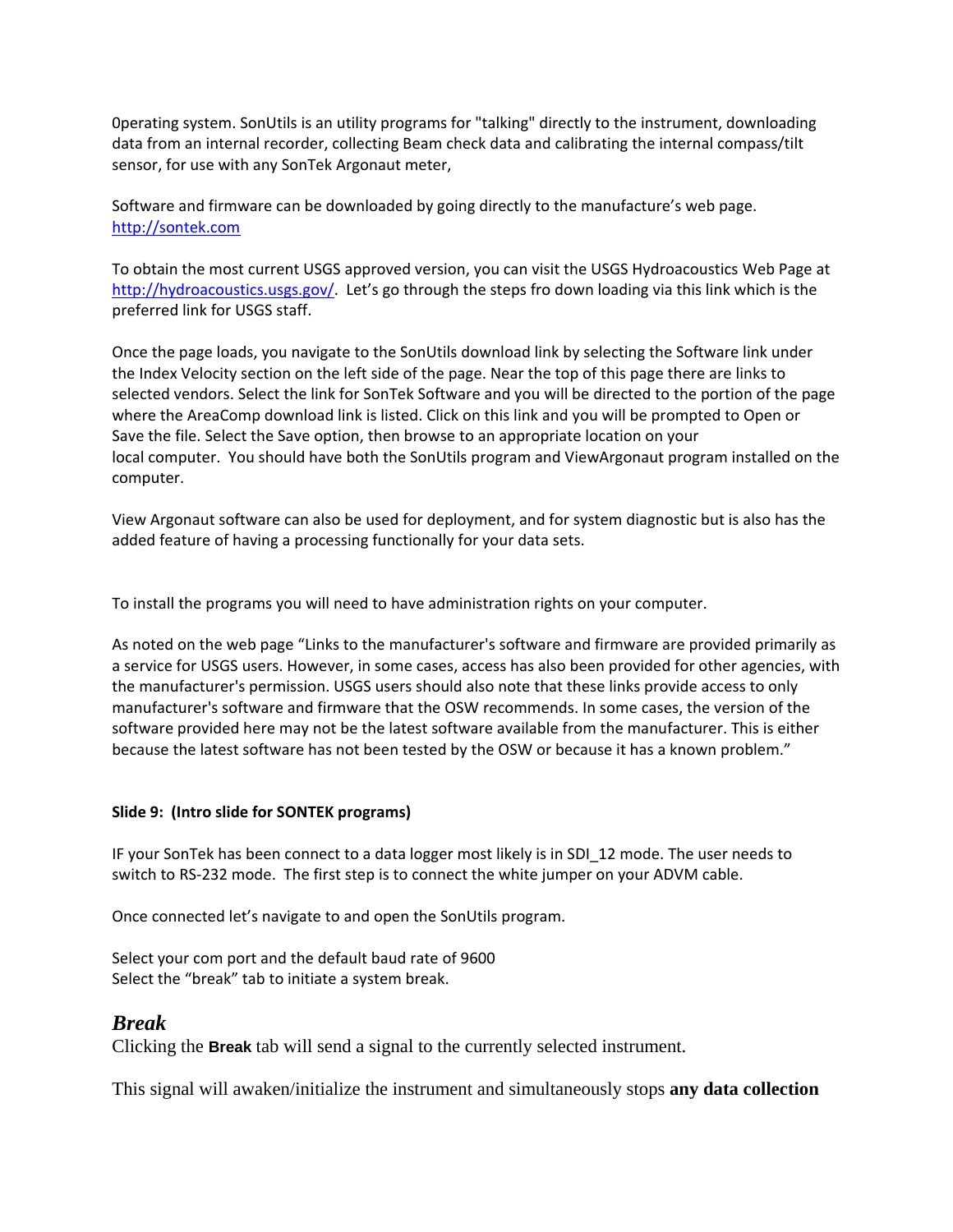0perating system. SonUtils is an utility programs for "talking" directly to the instrument, downloading data from an internal recorder, collecting Beam check data and calibrating the internal compass/tilt sensor, for use with any SonTek Argonaut meter,

Software and firmware can be downloaded by going directly to the manufacture's web page. http://sontek.com

To obtain the most current USGS approved version, you can visit the USGS Hydroacoustics Web Page at http://hydroacoustics.usgs.gov/. Let's go through the steps fro down loading via this link which is the preferred link for USGS staff.

Once the page loads, you navigate to the SonUtils download link by selecting the Software link under the Index Velocity section on the left side of the page. Near the top of this page there are links to selected vendors. Select the link for SonTek Software and you will be directed to the portion of the page where the AreaComp download link is listed. Click on this link and you will be prompted to Open or Save the file. Select the Save option, then browse to an appropriate location on your local computer. You should have both the SonUtils program and ViewArgonaut program installed on the computer.

View Argonaut software can also be used for deployment, and for system diagnostic but is also has the added feature of having a processing functionally for your data sets.

To install the programs you will need to have administration rights on your computer.

As noted on the web page "Links to the manufacturer's software and firmware are provided primarily as a service for USGS users. However, in some cases, access has also been provided for other agencies, with the manufacturer's permission. USGS users should also note that these links provide access to only manufacturer's software and firmware that the OSW recommends. In some cases, the version of the software provided here may not be the latest software available from the manufacturer. This is either because the latest software has not been tested by the OSW or because it has a known problem."

#### **Slide 9: (Intro slide for SONTEK programs)**

IF your SonTek has been connect to a data logger most likely is in SDI\_12 mode. The user needs to switch to RS‐232 mode. The first step is to connect the white jumper on your ADVM cable.

Once connected let's navigate to and open the SonUtils program.

Select your com port and the default baud rate of 9600 Select the "break" tab to initiate a system break.

#### *Break*

Clicking the **Break** tab will send a signal to the currently selected instrument.

This signal will awaken/initialize the instrument and simultaneously stops **any data collection**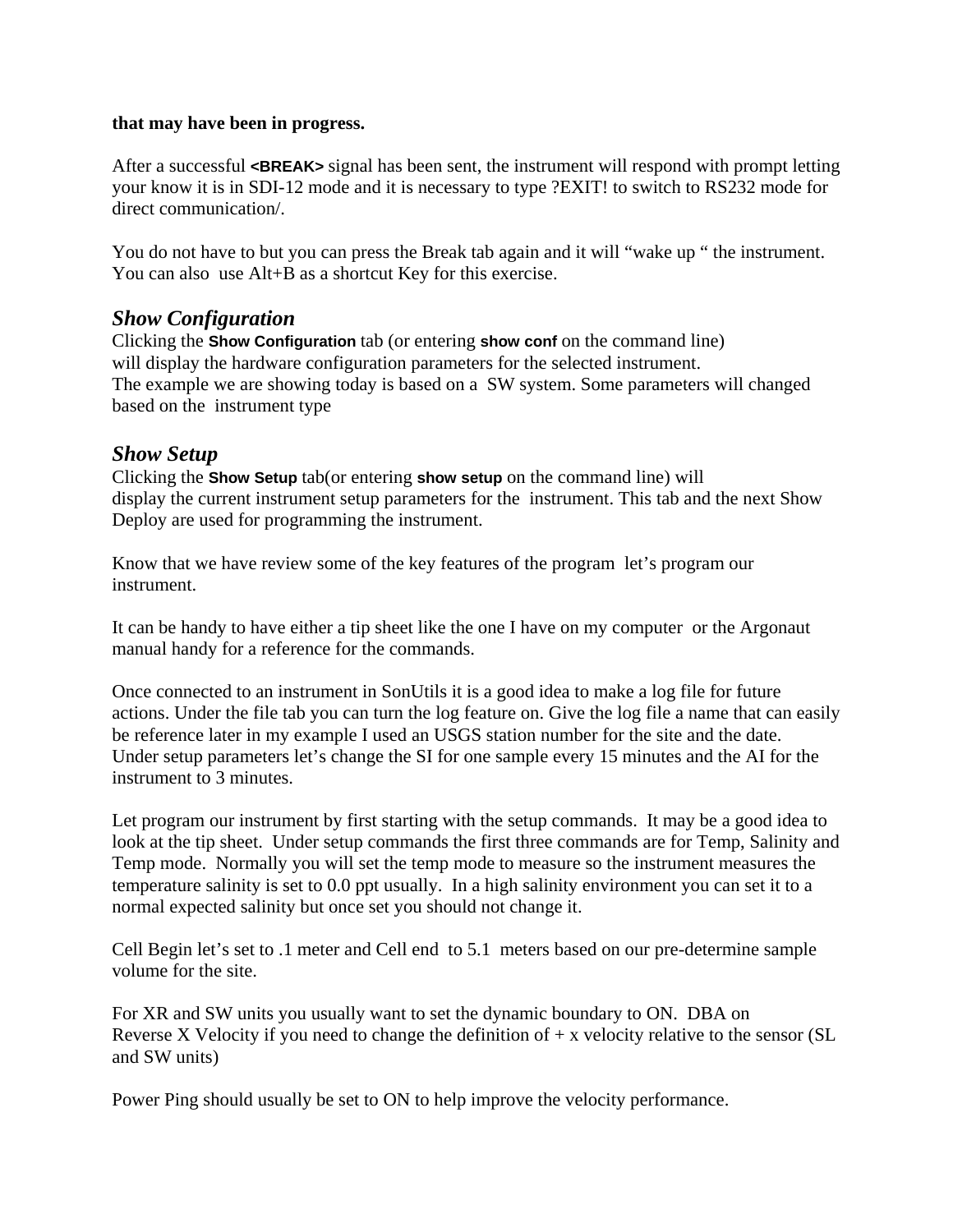### **that may have been in progress.**

After a successful **<BREAK>** signal has been sent, the instrument will respond with prompt letting your know it is in SDI-12 mode and it is necessary to type ?EXIT! to switch to RS232 mode for direct communication/.

You do not have to but you can press the Break tab again and it will "wake up " the instrument. You can also use Alt+B as a shortcut Key for this exercise.

# *Show Configuration*

Clicking the **Show Configuration** tab (or entering **show conf** on the command line) will display the hardware configuration parameters for the selected instrument. The example we are showing today is based on a SW system. Some parameters will changed based on the instrument type

# *Show Setup*

Clicking the **Show Setup** tab(or entering **show setup** on the command line) will display the current instrument setup parameters for the instrument. This tab and the next Show Deploy are used for programming the instrument.

Know that we have review some of the key features of the program let's program our instrument.

It can be handy to have either a tip sheet like the one I have on my computer or the Argonaut manual handy for a reference for the commands.

Once connected to an instrument in SonUtils it is a good idea to make a log file for future actions. Under the file tab you can turn the log feature on. Give the log file a name that can easily be reference later in my example I used an USGS station number for the site and the date. Under setup parameters let's change the SI for one sample every 15 minutes and the AI for the instrument to 3 minutes.

Let program our instrument by first starting with the setup commands. It may be a good idea to look at the tip sheet. Under setup commands the first three commands are for Temp, Salinity and Temp mode. Normally you will set the temp mode to measure so the instrument measures the temperature salinity is set to 0.0 ppt usually. In a high salinity environment you can set it to a normal expected salinity but once set you should not change it.

Cell Begin let's set to .1 meter and Cell end to 5.1 meters based on our pre-determine sample volume for the site.

For XR and SW units you usually want to set the dynamic boundary to ON. DBA on Reverse X Velocity if you need to change the definition of  $+ x$  velocity relative to the sensor (SL and SW units)

Power Ping should usually be set to ON to help improve the velocity performance.